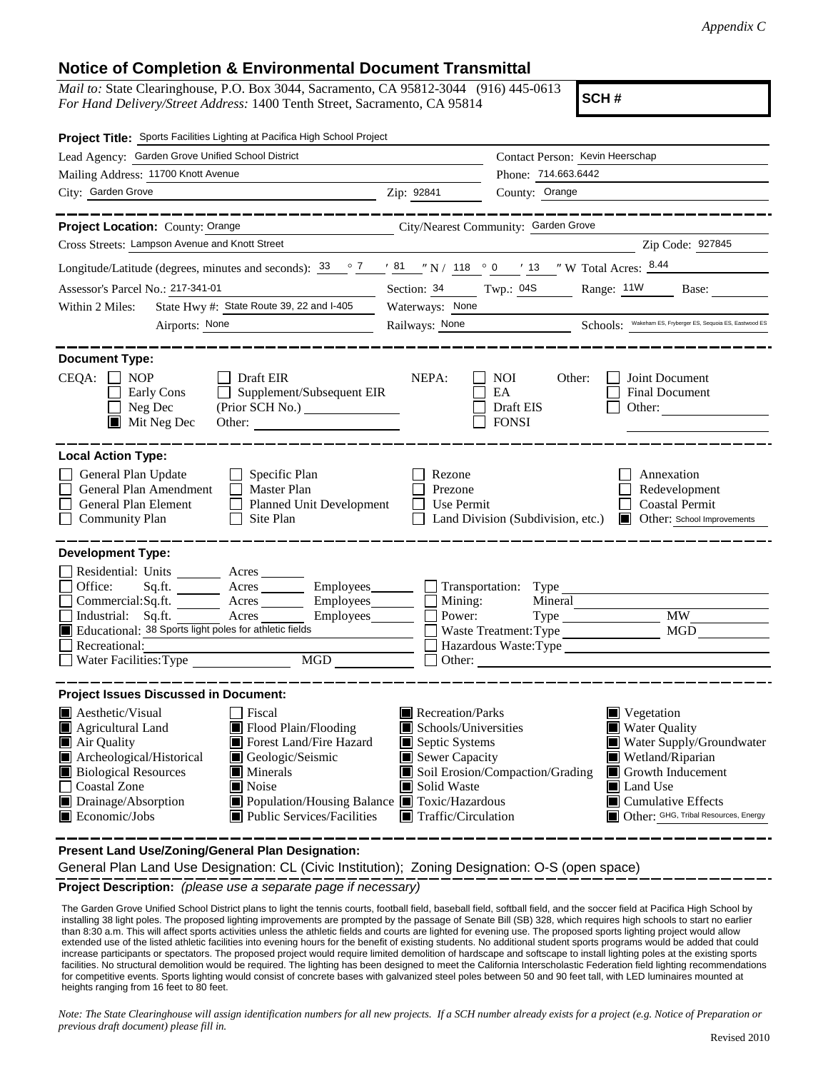## **Notice of Completion & Environmental Document Transmittal**

*Mail to:* State Clearinghouse, P.O. Box 3044, Sacramento, CA 95812-3044 (916) 445-0613 *For Hand Delivery/Street Address:* 1400 Tenth Street, Sacramento, CA 95814

**SCH #**

| Project Title: Sports Facilities Lighting at Pacifica High School Project                                                                                                                                          |                                                                                                                                                                                                       |  |
|--------------------------------------------------------------------------------------------------------------------------------------------------------------------------------------------------------------------|-------------------------------------------------------------------------------------------------------------------------------------------------------------------------------------------------------|--|
|                                                                                                                                                                                                                    | Contact Person: Kevin Heerschap                                                                                                                                                                       |  |
|                                                                                                                                                                                                                    | Phone: 714.663.6442                                                                                                                                                                                   |  |
| Zip: 92841                                                                                                                                                                                                         | County: Orange                                                                                                                                                                                        |  |
|                                                                                                                                                                                                                    |                                                                                                                                                                                                       |  |
|                                                                                                                                                                                                                    |                                                                                                                                                                                                       |  |
|                                                                                                                                                                                                                    | Zip Code: 927845                                                                                                                                                                                      |  |
|                                                                                                                                                                                                                    | Longitude/Latitude (degrees, minutes and seconds): $\frac{33}{2}$ $\frac{7}{2}$ $\frac{1}{2}$ $\frac{81}{2}$ $\frac{1}{2}$ N / 118 $\degree$ 0 $\degree$ 13 $\degree$ W Total Acres: $\frac{8.44}{2}$ |  |
| Section: $34$ Twp.: 04S<br>Range: 11W Base:                                                                                                                                                                        |                                                                                                                                                                                                       |  |
| Waterways: None                                                                                                                                                                                                    |                                                                                                                                                                                                       |  |
|                                                                                                                                                                                                                    | Railways: <u>None</u> Schools: Wakeham ES, Fryberger ES, Sequoia ES, Eastwood ES                                                                                                                      |  |
|                                                                                                                                                                                                                    |                                                                                                                                                                                                       |  |
| NEPA:<br><b>NOI</b><br>Supplement/Subsequent EIR<br>EA                                                                                                                                                             | Joint Document<br>Other:<br><b>Final Document</b><br>Draft EIS<br>Other:<br><b>FONSI</b>                                                                                                              |  |
|                                                                                                                                                                                                                    |                                                                                                                                                                                                       |  |
| Rezone<br>Prezone<br>Planned Unit Development<br>Use Permit                                                                                                                                                        | Annexation<br>Redevelopment<br><b>Coastal Permit</b><br>Other: School Improvements<br>Land Division (Subdivision, etc.)                                                                               |  |
|                                                                                                                                                                                                                    |                                                                                                                                                                                                       |  |
|                                                                                                                                                                                                                    | Mineral                                                                                                                                                                                               |  |
| Power:                                                                                                                                                                                                             | <b>MW</b>                                                                                                                                                                                             |  |
|                                                                                                                                                                                                                    | MGD<br>Waste Treatment: Type                                                                                                                                                                          |  |
| Hazardous Waste: Type                                                                                                                                                                                              |                                                                                                                                                                                                       |  |
|                                                                                                                                                                                                                    |                                                                                                                                                                                                       |  |
|                                                                                                                                                                                                                    |                                                                                                                                                                                                       |  |
| Recreation/Parks<br>Schools/Universities<br>$\blacksquare$ Septic Systems<br>Sewer Capacity<br>Soil Erosion/Compaction/Grading<br>Solid Waste<br>Population/Housing Balance Toxic/Hazardous<br>Traffic/Circulation | ■ Vegetation<br>Water Quality<br>Water Supply/Groundwater<br>Wetland/Riparian<br>Growth Inducement<br>Land Use<br>$\blacksquare$ Cumulative Effects<br>Other: GHG, Tribal Resources, Energy           |  |
|                                                                                                                                                                                                                    | City/Nearest Community: Garden Grove<br>Mining:<br>Employees________<br>MGD NGD                                                                                                                       |  |

**Present Land Use/Zoning/General Plan Designation:**

General Plan Land Use Designation: CL (Civic Institution); Zoning Designation: O-S (open space)

**Project Description:** *(please use a separate page if necessary)*

 The Garden Grove Unified School District plans to light the tennis courts, football field, baseball field, softball field, and the soccer field at Pacifica High School by installing 38 light poles. The proposed lighting improvements are prompted by the passage of Senate Bill (SB) 328, which requires high schools to start no earlier than 8:30 a.m. This will affect sports activities unless the athletic fields and courts are lighted for evening use. The proposed sports lighting project would allow extended use of the listed athletic facilities into evening hours for the benefit of existing students. No additional student sports programs would be added that could increase participants or spectators. The proposed project would require limited demolition of hardscape and softscape to install lighting poles at the existing sports facilities. No structural demolition would be required. The lighting has been designed to meet the California Interscholastic Federation field lighting recommendations for competitive events. Sports lighting would consist of concrete bases with galvanized steel poles between 50 and 90 feet tall, with LED luminaires mounted at heights ranging from 16 feet to 80 feet.

*Note: The State Clearinghouse will assign identification numbers for all new projects. If a SCH number already exists for a project (e.g. Notice of Preparation or previous draft document) please fill in.*